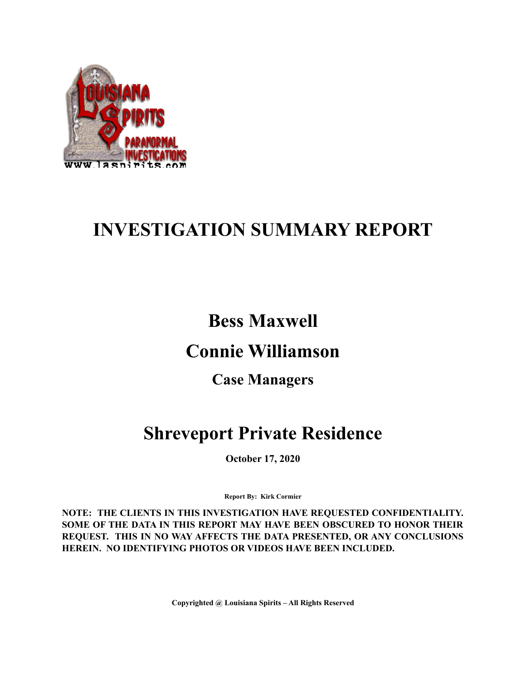

# **INVESTIGATION SUMMARY REPORT**

## **Bess Maxwell**

## **Connie Williamson**

## **Case Managers**

# **Shreveport Private Residence**

**October 17, 2020**

**Report By: Kirk Cormier**

**NOTE: THE CLIENTS IN THIS INVESTIGATION HAVE REQUESTED CONFIDENTIALITY. SOME OF THE DATA IN THIS REPORT MAY HAVE BEEN OBSCURED TO HONOR THEIR REQUEST. THIS IN NO WAY AFFECTS THE DATA PRESENTED, OR ANY CONCLUSIONS HEREIN. NO IDENTIFYING PHOTOS OR VIDEOS HAVE BEEN INCLUDED.**

**Copyrighted @ Louisiana Spirits – All Rights Reserved**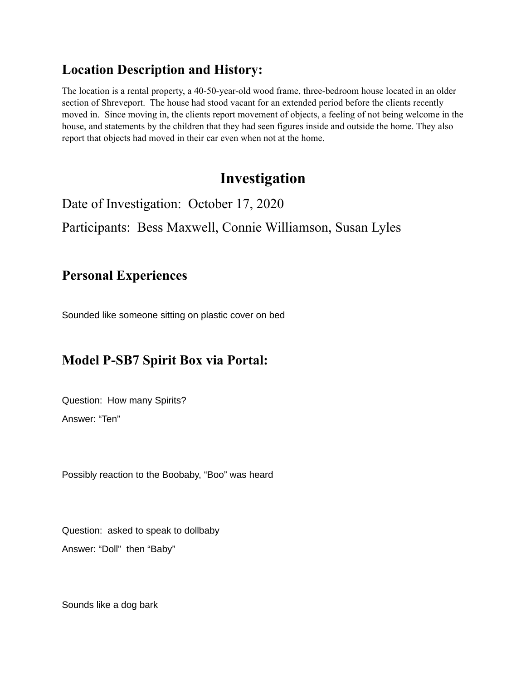### **Location Description and History:**

The location is a rental property, a 40-50-year-old wood frame, three-bedroom house located in an older section of Shreveport. The house had stood vacant for an extended period before the clients recently moved in. Since moving in, the clients report movement of objects, a feeling of not being welcome in the house, and statements by the children that they had seen figures inside and outside the home. They also report that objects had moved in their car even when not at the home.

## **Investigation**

Date of Investigation: October 17, 2020

Participants: Bess Maxwell, Connie Williamson, Susan Lyles

#### **Personal Experiences**

Sounded like someone sitting on plastic cover on bed

### **Model P-SB7 Spirit Box via Portal:**

Question: How many Spirits? Answer: "Ten"

Possibly reaction to the Boobaby, "Boo" was heard

Question: asked to speak to dollbaby Answer: "Doll" then "Baby"

Sounds like a dog bark